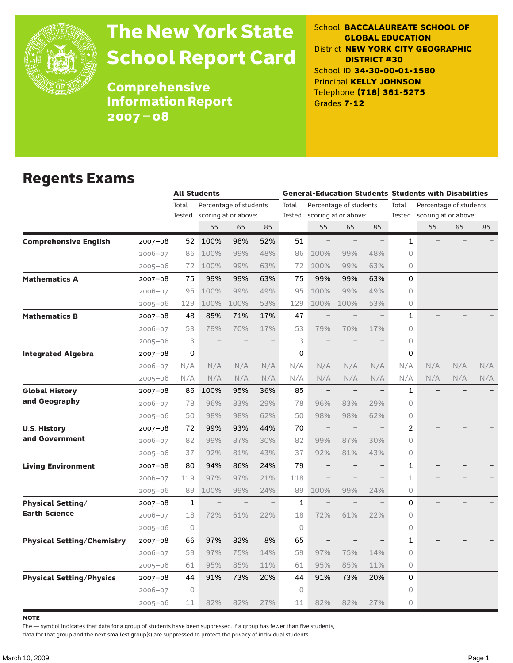

# The New York State School Report Card

School **BACCALAUREATE SCHOOL OF GLOBAL EDUCATION** District **NEW YORK CITY GEOGRAPHIC DISTRICT #30** School ID **34-30-00-01-1580** Principal **KELLY JOHNSON** Telephone **(718) 361-5275** Grades **7-12**

**Comprehensive** Information Report 2007–08

### Regents Exams

|                                   |             | <b>All Students</b> |      |                        |     |              |                             |                        |                          | <b>General-Education Students Students with Disabilities</b> |                        |     |     |
|-----------------------------------|-------------|---------------------|------|------------------------|-----|--------------|-----------------------------|------------------------|--------------------------|--------------------------------------------------------------|------------------------|-----|-----|
|                                   |             | Total               |      | Percentage of students |     | Total        |                             | Percentage of students |                          | Total                                                        | Percentage of students |     |     |
|                                   |             | Tested              |      | scoring at or above:   |     |              | Tested scoring at or above: |                        |                          | Tested                                                       | scoring at or above:   |     |     |
|                                   |             |                     | 55   | 65                     | 85  |              | 55                          | 65                     | 85                       |                                                              | 55                     | 65  | 85  |
| <b>Comprehensive English</b>      | 2007-08     | 52                  | 100% | 98%                    | 52% | 51           | $\overline{\phantom{0}}$    |                        | $\qquad \qquad -$        | 1                                                            |                        |     |     |
|                                   | 2006-07     | 86                  | 100% | 99%                    | 48% | 86           | 100%                        | 99%                    | 48%                      | $\Omega$                                                     |                        |     |     |
|                                   | $2005 - 06$ | 72                  | 100% | 99%                    | 63% | 72           | 100%                        | 99%                    | 63%                      | $\circ$                                                      |                        |     |     |
| <b>Mathematics A</b>              | 2007–08     | 75                  | 99%  | 99%                    | 63% | 75           | 99%                         | 99%                    | 63%                      | $\Omega$                                                     |                        |     |     |
|                                   | $2006 - 07$ | 95                  | 100% | 99%                    | 49% | 95           | 100%                        | 99%                    | 49%                      | $\circ$                                                      |                        |     |     |
|                                   | $2005 - 06$ | 129                 | 100% | 100%                   | 53% | 129          | 100%                        | 100%                   | 53%                      | 0                                                            |                        |     |     |
| <b>Mathematics B</b>              | $2007 - 08$ | 48                  | 85%  | 71%                    | 17% | 47           |                             |                        |                          | 1                                                            |                        |     |     |
|                                   | $2006 - 07$ | 53                  | 79%  | 70%                    | 17% | 53           | 79%                         | 70%                    | 17%                      | $\Omega$                                                     |                        |     |     |
|                                   | 2005-06     | 3                   |      |                        |     | 3            |                             |                        |                          | 0                                                            |                        |     |     |
| <b>Integrated Algebra</b>         | 2007–08     | 0                   |      |                        |     | 0            |                             |                        |                          | 0                                                            |                        |     |     |
|                                   | 2006-07     | N/A                 | N/A  | N/A                    | N/A | N/A          | N/A                         | N/A                    | N/A                      | N/A                                                          | N/A                    | N/A | N/A |
|                                   | $2005 - 06$ | N/A                 | N/A  | N/A                    | N/A | N/A          | N/A                         | N/A                    | N/A                      | N/A                                                          | N/A                    | N/A | N/A |
| <b>Global History</b>             | $2007 - 08$ | 86                  | 100% | 95%                    | 36% | 85           | $\qquad \qquad -$           |                        | $\overline{\phantom{0}}$ | $\mathbf{1}$                                                 |                        |     |     |
| and Geography                     | 2006-07     | 78                  | 96%  | 83%                    | 29% | 78           | 96%                         | 83%                    | 29%                      | $\Omega$                                                     |                        |     |     |
|                                   | 2005-06     | 50                  | 98%  | 98%                    | 62% | 50           | 98%                         | 98%                    | 62%                      | $\circ$                                                      |                        |     |     |
| <b>U.S. History</b>               | 2007-08     | 72                  | 99%  | 93%                    | 44% | 70           | $\overline{\phantom{0}}$    |                        |                          | $\overline{c}$                                               |                        |     |     |
| and Government                    | $2006 - 07$ | 82                  | 99%  | 87%                    | 30% | 82           | 99%                         | 87%                    | 30%                      | $\circ$                                                      |                        |     |     |
|                                   | $2005 - 06$ | 37                  | 92%  | 81%                    | 43% | 37           | 92%                         | 81%                    | 43%                      | $\circ$                                                      |                        |     |     |
| <b>Living Environment</b>         | 2007–08     | 80                  | 94%  | 86%                    | 24% | 79           | $\overline{\phantom{0}}$    |                        | $\overline{\phantom{0}}$ | $\mathbf{1}$                                                 |                        |     |     |
|                                   | 2006-07     | 119                 | 97%  | 97%                    | 21% | 118          |                             |                        |                          | $\mathbf{1}$                                                 |                        |     |     |
|                                   | 2005-06     | 89                  | 100% | 99%                    | 24% | 89           | 100%                        | 99%                    | 24%                      | 0                                                            |                        |     |     |
| <b>Physical Setting/</b>          | 2007-08     | 1                   |      |                        |     | $\mathbf{1}$ | $\qquad \qquad -$           |                        |                          | 0                                                            |                        |     |     |
| <b>Earth Science</b>              | $2006 - 07$ | 18                  | 72%  | 61%                    | 22% | 18           | 72%                         | 61%                    | 22%                      | $\circ$                                                      |                        |     |     |
|                                   | 2005-06     | 0                   |      |                        |     | 0            |                             |                        |                          | 0                                                            |                        |     |     |
| <b>Physical Setting/Chemistry</b> | 2007-08     | 66                  | 97%  | 82%                    | 8%  | 65           |                             |                        |                          | $\mathbf{1}$                                                 |                        |     |     |
|                                   | 2006-07     | 59                  | 97%  | 75%                    | 14% | 59           | 97%                         | 75%                    | 14%                      | $\Omega$                                                     |                        |     |     |
|                                   | 2005-06     | 61                  | 95%  | 85%                    | 11% | 61           | 95%                         | 85%                    | 11%                      | $\circ$                                                      |                        |     |     |
| <b>Physical Setting/Physics</b>   | $2007 - 08$ | 44                  | 91%  | 73%                    | 20% | 44           | 91%                         | 73%                    | 20%                      | 0                                                            |                        |     |     |
|                                   |             |                     |      |                        |     | 0            |                             |                        |                          | 0                                                            |                        |     |     |
|                                   | $2006 - 07$ | 0                   |      |                        |     |              |                             |                        |                          |                                                              |                        |     |     |

**NOTE** 

The — symbol indicates that data for a group of students have been suppressed. If a group has fewer than five students,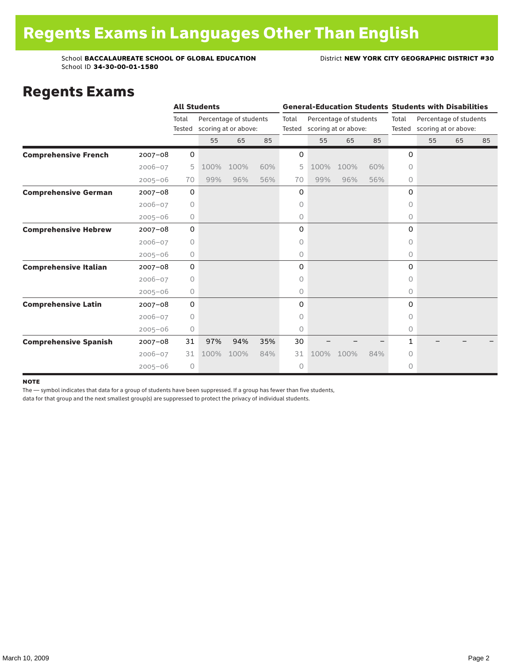### Regents Exams

|                              |             |             | <b>All Students</b> |                        |     |       |      |                             |     | <b>General-Education Students Students with Disabilities</b> |                             |    |    |
|------------------------------|-------------|-------------|---------------------|------------------------|-----|-------|------|-----------------------------|-----|--------------------------------------------------------------|-----------------------------|----|----|
|                              |             | Total       |                     | Percentage of students |     | Total |      | Percentage of students      |     | Total                                                        | Percentage of students      |    |    |
|                              |             | Tested      |                     | scoring at or above:   |     |       |      | Tested scoring at or above: |     |                                                              | Tested scoring at or above: |    |    |
|                              |             |             | 55                  | 65                     | 85  |       | 55   | 65                          | 85  |                                                              | 55                          | 65 | 85 |
| <b>Comprehensive French</b>  | $2007 - 08$ | 0           |                     |                        |     | 0     |      |                             |     | 0                                                            |                             |    |    |
|                              | $2006 - 07$ | 5           | 100%                | 100%                   | 60% | 5     | 100% | 100%                        | 60% | $\Omega$                                                     |                             |    |    |
|                              | $2005 - 06$ | 70          | 99%                 | 96%                    | 56% | 70    | 99%  | 96%                         | 56% | 0                                                            |                             |    |    |
| <b>Comprehensive German</b>  | $2007 - 08$ | 0           |                     |                        |     | 0     |      |                             |     | 0                                                            |                             |    |    |
|                              | $2006 - 07$ | $\circ$     |                     |                        |     | 0     |      |                             |     | 0                                                            |                             |    |    |
|                              | $2005 - 06$ | 0           |                     |                        |     | 0     |      |                             |     | 0                                                            |                             |    |    |
| <b>Comprehensive Hebrew</b>  | $2007 - 08$ | 0           |                     |                        |     | 0     |      |                             |     | 0                                                            |                             |    |    |
|                              | $2006 - 07$ | 0           |                     |                        |     | 0     |      |                             |     | $\circ$                                                      |                             |    |    |
|                              | $2005 - 06$ | 0           |                     |                        |     | 0     |      |                             |     | 0                                                            |                             |    |    |
| <b>Comprehensive Italian</b> | $2007 - 08$ | $\mathbf 0$ |                     |                        |     | 0     |      |                             |     | 0                                                            |                             |    |    |
|                              | $2006 - 07$ | $\circ$     |                     |                        |     | 0     |      |                             |     | 0                                                            |                             |    |    |
|                              | $2005 - 06$ | 0           |                     |                        |     | 0     |      |                             |     | 0                                                            |                             |    |    |
| <b>Comprehensive Latin</b>   | $2007 - 08$ | 0           |                     |                        |     | 0     |      |                             |     | 0                                                            |                             |    |    |
|                              | $2006 - 07$ | 0           |                     |                        |     | 0     |      |                             |     | 0                                                            |                             |    |    |
|                              | $2005 - 06$ | 0           |                     |                        |     | 0     |      |                             |     | 0                                                            |                             |    |    |
| <b>Comprehensive Spanish</b> | $2007 - 08$ | 31          | 97%                 | 94%                    | 35% | 30    |      |                             |     | 1                                                            |                             |    |    |
|                              | $2006 - 07$ | 31          | 100%                | 100%                   | 84% | 31    | 100% | 100%                        | 84% | 0                                                            |                             |    |    |
|                              | $2005 - 06$ | 0           |                     |                        |     | 0     |      |                             |     | 0                                                            |                             |    |    |

#### **NOTE**

The — symbol indicates that data for a group of students have been suppressed. If a group has fewer than five students,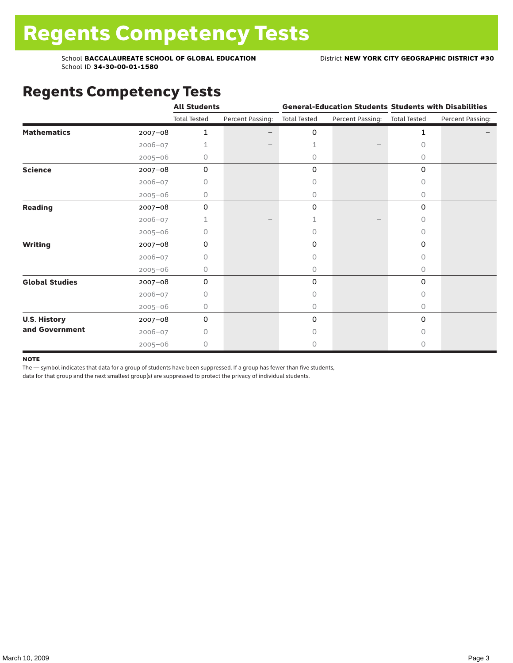# Regents Competency Tests

|                       |             | <b>All Students</b> |                  |                     |                               | <b>General-Education Students Students with Disabilities</b> |                  |  |
|-----------------------|-------------|---------------------|------------------|---------------------|-------------------------------|--------------------------------------------------------------|------------------|--|
|                       |             | <b>Total Tested</b> | Percent Passing: | <b>Total Tested</b> | Percent Passing: Total Tested |                                                              | Percent Passing: |  |
| <b>Mathematics</b>    | $2007 - 08$ | 1                   |                  | 0                   |                               | 1                                                            |                  |  |
|                       | $2006 - 07$ | 1                   |                  | 1                   |                               | 0                                                            |                  |  |
|                       | $2005 - 06$ | 0                   |                  | $\circ$             |                               | 0                                                            |                  |  |
| <b>Science</b>        | 2007-08     | 0                   |                  | 0                   |                               | 0                                                            |                  |  |
|                       | $2006 - 07$ | 0                   |                  | 0                   |                               | 0                                                            |                  |  |
|                       | $2005 - 06$ | 0                   |                  | 0                   |                               | 0                                                            |                  |  |
| <b>Reading</b>        | 2007-08     | 0                   |                  | 0                   |                               | 0                                                            |                  |  |
|                       | $2006 - 07$ | 1                   |                  | 1                   |                               | 0                                                            |                  |  |
|                       | $2005 - 06$ | 0                   |                  | 0                   |                               | 0                                                            |                  |  |
| <b>Writing</b>        | 2007-08     | 0                   |                  | 0                   |                               | 0                                                            |                  |  |
|                       | $2006 - 07$ | 0                   |                  | $\Omega$            |                               | 0                                                            |                  |  |
|                       | $2005 - 06$ | 0                   |                  | 0                   |                               | 0                                                            |                  |  |
| <b>Global Studies</b> | 2007-08     | 0                   |                  | 0                   |                               | 0                                                            |                  |  |
|                       | $2006 - 07$ | 0                   |                  | $\Omega$            |                               | 0                                                            |                  |  |
|                       | $2005 - 06$ | 0                   |                  | $\circ$             |                               | 0                                                            |                  |  |
| <b>U.S. History</b>   | 2007-08     | 0                   |                  | 0                   |                               | 0                                                            |                  |  |
| and Government        | $2006 - 07$ | 0                   |                  | 0                   |                               | 0                                                            |                  |  |
|                       | $2005 - 06$ | 0                   |                  | 0                   |                               | 0                                                            |                  |  |

#### **NOTE**

The — symbol indicates that data for a group of students have been suppressed. If a group has fewer than five students,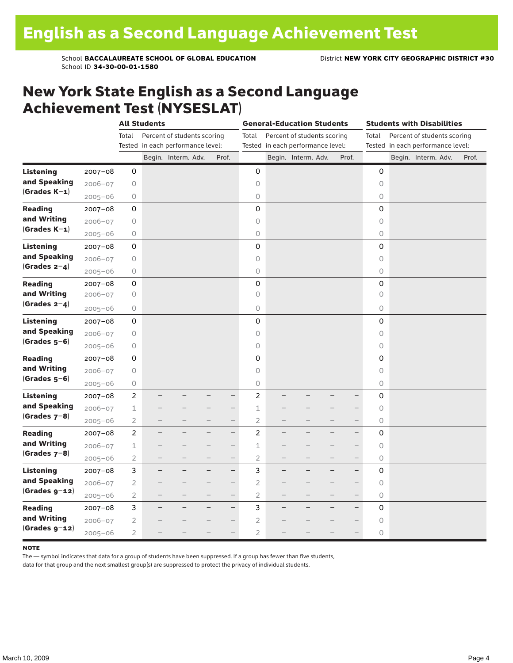### New York State English as a Second Language Achievement Test (NYSESLAT)

|                  |             | <b>All Students</b> |        |                                   |   | <b>General-Education Students</b> |                |  |                                   |  | <b>Students with Disabilities</b> |             |  |                                   |  |       |
|------------------|-------------|---------------------|--------|-----------------------------------|---|-----------------------------------|----------------|--|-----------------------------------|--|-----------------------------------|-------------|--|-----------------------------------|--|-------|
|                  |             | Total               |        | Percent of students scoring       |   |                                   | Total          |  | Percent of students scoring       |  |                                   | Total       |  | Percent of students scoring       |  |       |
|                  |             |                     |        | Tested in each performance level: |   |                                   |                |  | Tested in each performance level: |  |                                   |             |  | Tested in each performance level: |  |       |
|                  |             |                     |        | Begin. Interm. Adv.               |   | Prof.                             |                |  | Begin. Interm. Adv.               |  | Prof.                             |             |  | Begin. Interm. Adv.               |  | Prof. |
| <b>Listening</b> | 2007-08     | 0                   |        |                                   |   |                                   | $\mathbf 0$    |  |                                   |  |                                   | 0           |  |                                   |  |       |
| and Speaking     | $2006 - 07$ | 0                   |        |                                   |   |                                   | $\circ$        |  |                                   |  |                                   | $\circ$     |  |                                   |  |       |
| $(Grades K-1)$   | $2005 - 06$ | 0                   |        |                                   |   |                                   | 0              |  |                                   |  |                                   | 0           |  |                                   |  |       |
| <b>Reading</b>   | $2007 - 08$ | 0                   |        |                                   |   |                                   | 0              |  |                                   |  |                                   | 0           |  |                                   |  |       |
| and Writing      | $2006 - 07$ | 0                   |        |                                   |   |                                   | $\circ$        |  |                                   |  |                                   | 0           |  |                                   |  |       |
| $(Grades K-1)$   | $2005 - 06$ | 0                   |        |                                   |   |                                   | $\circ$        |  |                                   |  |                                   | 0           |  |                                   |  |       |
| <b>Listening</b> | $2007 - 08$ | 0                   |        |                                   |   |                                   | 0              |  |                                   |  |                                   | 0           |  |                                   |  |       |
| and Speaking     | $2006 - 07$ | 0                   |        |                                   |   |                                   | $\circ$        |  |                                   |  |                                   | $\circ$     |  |                                   |  |       |
| (Grades $2-4$ )  | $2005 - 06$ | 0                   |        |                                   |   |                                   | $\bigcirc$     |  |                                   |  |                                   | 0           |  |                                   |  |       |
| <b>Reading</b>   | $2007 - 08$ | 0                   |        |                                   |   |                                   | 0              |  |                                   |  |                                   | 0           |  |                                   |  |       |
| and Writing      | 2006-07     | 0                   |        |                                   |   |                                   | 0              |  |                                   |  |                                   | 0           |  |                                   |  |       |
| (Grades $2-4$ )  | $2005 - 06$ | 0                   |        |                                   |   |                                   | $\circ$        |  |                                   |  |                                   | 0           |  |                                   |  |       |
| Listening        | 2007-08     | 0                   |        |                                   |   |                                   | 0              |  |                                   |  |                                   | 0           |  |                                   |  |       |
| and Speaking     | $2006 - 07$ | 0                   |        |                                   |   |                                   | $\circ$        |  |                                   |  |                                   | 0           |  |                                   |  |       |
| $(Grades 5-6)$   | $2005 - 06$ | 0                   |        |                                   |   |                                   | $\circ$        |  |                                   |  |                                   | 0           |  |                                   |  |       |
| <b>Reading</b>   | $2007 - 08$ | 0                   |        |                                   |   |                                   | 0              |  |                                   |  |                                   | 0           |  |                                   |  |       |
| and Writing      | $2006 - 07$ | 0                   |        |                                   |   |                                   | $\circ$        |  |                                   |  |                                   | $\mathsf O$ |  |                                   |  |       |
| $(Grades 5-6)$   | $2005 - 06$ | 0                   |        |                                   |   |                                   | $\circ$        |  |                                   |  |                                   | 0           |  |                                   |  |       |
| Listening        | $2007 - 08$ | $\overline{2}$      |        |                                   |   | -                                 | $\overline{c}$ |  |                                   |  |                                   | 0           |  |                                   |  |       |
| and Speaking     | $2006 - 07$ | $\mathbf 1$         |        |                                   |   |                                   | $\perp$        |  |                                   |  |                                   | $\circ$     |  |                                   |  |       |
| (Grades $7-8$ )  | $2005 - 06$ | 2                   |        |                                   |   | $\overline{\phantom{0}}$          | $\overline{2}$ |  |                                   |  | $\qquad \qquad -$                 | 0           |  |                                   |  |       |
| <b>Reading</b>   | $2007 - 08$ | $\overline{2}$      |        |                                   |   | $\overline{\phantom{0}}$          | $\overline{2}$ |  |                                   |  | $\overline{\phantom{0}}$          | 0           |  |                                   |  |       |
| and Writing      | 2006-07     | $\mathbf 1$         |        |                                   |   | $-$                               | 1              |  |                                   |  | $\qquad \qquad -$                 | $\circ$     |  |                                   |  |       |
| $(Grades 7-8)$   | $2005 - 06$ | $\overline{2}$      |        |                                   |   |                                   | $\overline{c}$ |  |                                   |  | $\overline{\phantom{0}}$          | 0           |  |                                   |  |       |
| Listening        | $2007 - 08$ | 3                   | —<br>— |                                   | - | $\overline{\phantom{0}}$          | 3              |  |                                   |  | $\overline{\phantom{0}}$          | 0           |  |                                   |  |       |
| and Speaking     | $2006 - 07$ | $\mathbf{2}$        |        |                                   |   | $\overline{\phantom{0}}$          | $\overline{c}$ |  |                                   |  |                                   | 0           |  |                                   |  |       |
| $(Grades g-12)$  | $2005 - 06$ | 2                   |        |                                   |   | $\overline{\phantom{0}}$          | $\overline{2}$ |  |                                   |  | $\overline{\phantom{0}}$          | $\circ$     |  |                                   |  |       |
| <b>Reading</b>   | $2007 - 08$ | 3                   |        |                                   |   | $\overline{\phantom{0}}$          | 3              |  |                                   |  | $\overline{\phantom{0}}$          | 0           |  |                                   |  |       |
| and Writing      | $2006 - 07$ | 2                   |        |                                   |   | $-$                               | $\overline{c}$ |  |                                   |  |                                   | 0           |  |                                   |  |       |
| $(Grades g-12)$  | $2005 - 06$ | 2                   |        |                                   |   |                                   | $\overline{2}$ |  |                                   |  |                                   | 0           |  |                                   |  |       |

#### **NOTE**

The — symbol indicates that data for a group of students have been suppressed. If a group has fewer than five students,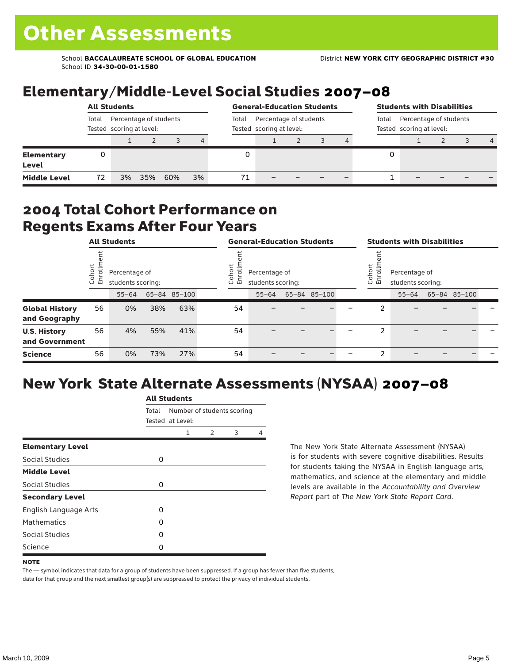# Elementary/Middle-Level Social Studies 2007–08

|                                   | <b>All Students</b>                                         |    |     |     |    |                                                             | <b>General-Education Students</b><br>Percentage of students<br>Total<br>Tested scoring at level: |  |  |  |   | <b>Students with Disabilities</b> |  |  |   |  |  |
|-----------------------------------|-------------------------------------------------------------|----|-----|-----|----|-------------------------------------------------------------|--------------------------------------------------------------------------------------------------|--|--|--|---|-----------------------------------|--|--|---|--|--|
|                                   | Percentage of students<br>Total<br>Tested scoring at level: |    |     |     |    | Percentage of students<br>Total<br>Tested scoring at level: |                                                                                                  |  |  |  |   |                                   |  |  |   |  |  |
|                                   |                                                             |    |     |     | 4  |                                                             |                                                                                                  |  |  |  |   |                                   |  |  | 4 |  |  |
| <b>Elementary</b><br><b>Level</b> | 0                                                           |    |     |     |    |                                                             |                                                                                                  |  |  |  | 0 |                                   |  |  |   |  |  |
| <b>Middle Level</b>               | 72                                                          | 3% | 35% | 60% | 3% | 71                                                          |                                                                                                  |  |  |  |   |                                   |  |  |   |  |  |

### 2004 Total Cohort Performance on Regents Exams After Four Years

|                                        | <b>All Students</b>    |                                    |     | <b>General-Education Students</b> |                                                         |           |  |              | <b>Students with Disabilities</b> |                                                         |           |  |              |  |
|----------------------------------------|------------------------|------------------------------------|-----|-----------------------------------|---------------------------------------------------------|-----------|--|--------------|-----------------------------------|---------------------------------------------------------|-----------|--|--------------|--|
|                                        | Cohort<br>$\circ$<br>面 | Percentage of<br>students scoring: |     |                                   | Cohort<br>Percentage of<br>o,<br>모<br>students scoring: |           |  |              |                                   | Cohort<br>Percentage of<br>o,<br>문<br>students scoring: |           |  |              |  |
|                                        |                        | $55 - 64$                          |     | 65-84 85-100                      |                                                         | $55 - 64$ |  | 65-84 85-100 |                                   |                                                         | $55 - 64$ |  | 65-84 85-100 |  |
| <b>Global History</b><br>and Geography | 56                     | 0%                                 | 38% | 63%                               | 54                                                      |           |  |              |                                   | 2                                                       |           |  |              |  |
| <b>U.S. History</b><br>and Government  | 56                     | 4%                                 | 55% | 41%                               | 54                                                      |           |  |              |                                   | $\overline{2}$                                          |           |  |              |  |
| <b>Science</b>                         | 56                     | 0%                                 | 73% | 27%                               | 54                                                      |           |  |              |                                   | 2                                                       |           |  |              |  |

# New York State Alternate Assessments (NYSAA) 2007–08

|                         | <b>All Students</b>                 |                  |               |   |   |  |  |  |  |  |
|-------------------------|-------------------------------------|------------------|---------------|---|---|--|--|--|--|--|
|                         | Number of students scoring<br>Total |                  |               |   |   |  |  |  |  |  |
|                         |                                     | Tested at Level: |               |   |   |  |  |  |  |  |
|                         |                                     | 1                | $\mathcal{P}$ | 3 | 4 |  |  |  |  |  |
| <b>Elementary Level</b> |                                     |                  |               |   |   |  |  |  |  |  |
| Social Studies          | 0                                   |                  |               |   |   |  |  |  |  |  |
| <b>Middle Level</b>     |                                     |                  |               |   |   |  |  |  |  |  |
| Social Studies          | 0                                   |                  |               |   |   |  |  |  |  |  |
| <b>Secondary Level</b>  |                                     |                  |               |   |   |  |  |  |  |  |
| English Language Arts   | O                                   |                  |               |   |   |  |  |  |  |  |
| <b>Mathematics</b>      | O                                   |                  |               |   |   |  |  |  |  |  |
| Social Studies          | O                                   |                  |               |   |   |  |  |  |  |  |
| Science                 | O                                   |                  |               |   |   |  |  |  |  |  |

The New York State Alternate Assessment (NYSAA) is for students with severe cognitive disabilities. Results for students taking the NYSAA in English language arts, mathematics, and science at the elementary and middle levels are available in the *Accountability and Overview Report* part of *The New York State Report Card*.

The — symbol indicates that data for a group of students have been suppressed. If a group has fewer than five students, data for that group and the next smallest group(s) are suppressed to protect the privacy of individual students.

**NOTE**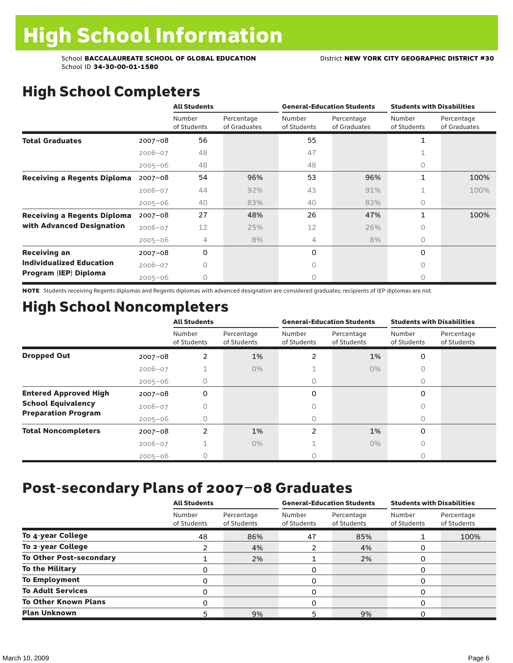# High School Completers

|                                    |             | <b>All Students</b>   |                            |                       | <b>General-Education Students</b> | <b>Students with Disabilities</b> |                            |  |
|------------------------------------|-------------|-----------------------|----------------------------|-----------------------|-----------------------------------|-----------------------------------|----------------------------|--|
|                                    |             | Number<br>of Students | Percentage<br>of Graduates | Number<br>of Students | Percentage<br>of Graduates        | Number<br>of Students             | Percentage<br>of Graduates |  |
| <b>Total Graduates</b>             | $2007 - 08$ | 56                    |                            | 55                    |                                   | 1                                 |                            |  |
|                                    | $2006 - 07$ | 48                    |                            | 47                    |                                   |                                   |                            |  |
|                                    | $2005 - 06$ | 48                    |                            | 48                    |                                   | 0                                 |                            |  |
| <b>Receiving a Regents Diploma</b> | $2007 - 08$ | 54                    | 96%                        | 53                    | 96%                               | 1                                 | 100%                       |  |
|                                    | $2006 - 07$ | 44                    | 92%                        | 43                    | 91%                               | 1                                 | 100%                       |  |
|                                    | $2005 - 06$ | 40                    | 83%                        | 40                    | 83%                               | $\circ$                           |                            |  |
| <b>Receiving a Regents Diploma</b> | $2007 - 08$ | 27                    | 48%                        | 26                    | 47%                               | 1                                 | 100%                       |  |
| with Advanced Designation          | $2006 - 07$ | 12                    | 25%                        | 12                    | 26%                               | 0                                 |                            |  |
|                                    | $2005 - 06$ | 4                     | 8%                         | 4                     | 8%                                | 0                                 |                            |  |
| <b>Receiving an</b>                | $2007 - 08$ | 0                     |                            | 0                     |                                   | 0                                 |                            |  |
| <b>Individualized Education</b>    | $2006 - 07$ | Ω                     |                            | $\bigcap$             |                                   | 0                                 |                            |  |
| Program (IEP) Diploma              | $2005 - 06$ | 0                     |                            | 0                     |                                   | $\bigcap$                         |                            |  |

NOTE Students receiving Regents diplomas and Regents diplomas with advanced designation are considered graduates; recipients of IEP diplomas are not.

# High School Noncompleters

|                              |             | <b>All Students</b>   |                           |                       | <b>General-Education Students</b> | <b>Students with Disabilities</b> |                           |  |
|------------------------------|-------------|-----------------------|---------------------------|-----------------------|-----------------------------------|-----------------------------------|---------------------------|--|
|                              |             | Number<br>of Students | Percentage<br>of Students | Number<br>of Students | Percentage<br>of Students         | Number<br>of Students             | Percentage<br>of Students |  |
| <b>Dropped Out</b>           | $2007 - 08$ | 2                     | 1%                        | $\mathfrak{p}$        | 1%                                | 0                                 |                           |  |
|                              | $2006 - 07$ |                       | $0\%$                     |                       | $0\%$                             |                                   |                           |  |
|                              | $2005 - 06$ | 0                     |                           | 0                     |                                   | 0                                 |                           |  |
| <b>Entered Approved High</b> | $2007 - 08$ | 0                     |                           | 0                     |                                   | 0                                 |                           |  |
| <b>School Equivalency</b>    | $2006 - 07$ |                       |                           |                       |                                   |                                   |                           |  |
| <b>Preparation Program</b>   | $2005 - 06$ | 0                     |                           | 0                     |                                   | 0                                 |                           |  |
| <b>Total Noncompleters</b>   | $2007 - 08$ | 2                     | 1%                        | 2                     | 1%                                | $\Omega$                          |                           |  |
|                              | $2006 - 07$ |                       | $0\%$                     |                       | $0\%$                             |                                   |                           |  |
|                              | $2005 - 06$ |                       |                           |                       |                                   |                                   |                           |  |

## Post-secondary Plans of 2007–08 Graduates

|                                | <b>All Students</b>   |                           |                       | <b>General-Education Students</b> | <b>Students with Disabilities</b> |                           |  |
|--------------------------------|-----------------------|---------------------------|-----------------------|-----------------------------------|-----------------------------------|---------------------------|--|
|                                | Number<br>of Students | Percentage<br>of Students | Number<br>of Students | Percentage<br>of Students         | Number<br>of Students             | Percentage<br>of Students |  |
| To 4-year College              | 48                    | 86%                       | 47                    | 85%                               |                                   | 100%                      |  |
| To 2-year College              |                       | 4%                        |                       | 4%                                |                                   |                           |  |
| <b>To Other Post-secondary</b> |                       | 2%                        |                       | 2%                                |                                   |                           |  |
| <b>To the Military</b>         | 0                     |                           | 0                     |                                   |                                   |                           |  |
| <b>To Employment</b>           |                       |                           | 0                     |                                   |                                   |                           |  |
| <b>To Adult Services</b>       | 0                     |                           | 0                     |                                   | O                                 |                           |  |
| <b>To Other Known Plans</b>    | 0                     |                           | 0                     |                                   |                                   |                           |  |
| <b>Plan Unknown</b>            | 5                     | 9%                        | 5                     | 9%                                |                                   |                           |  |